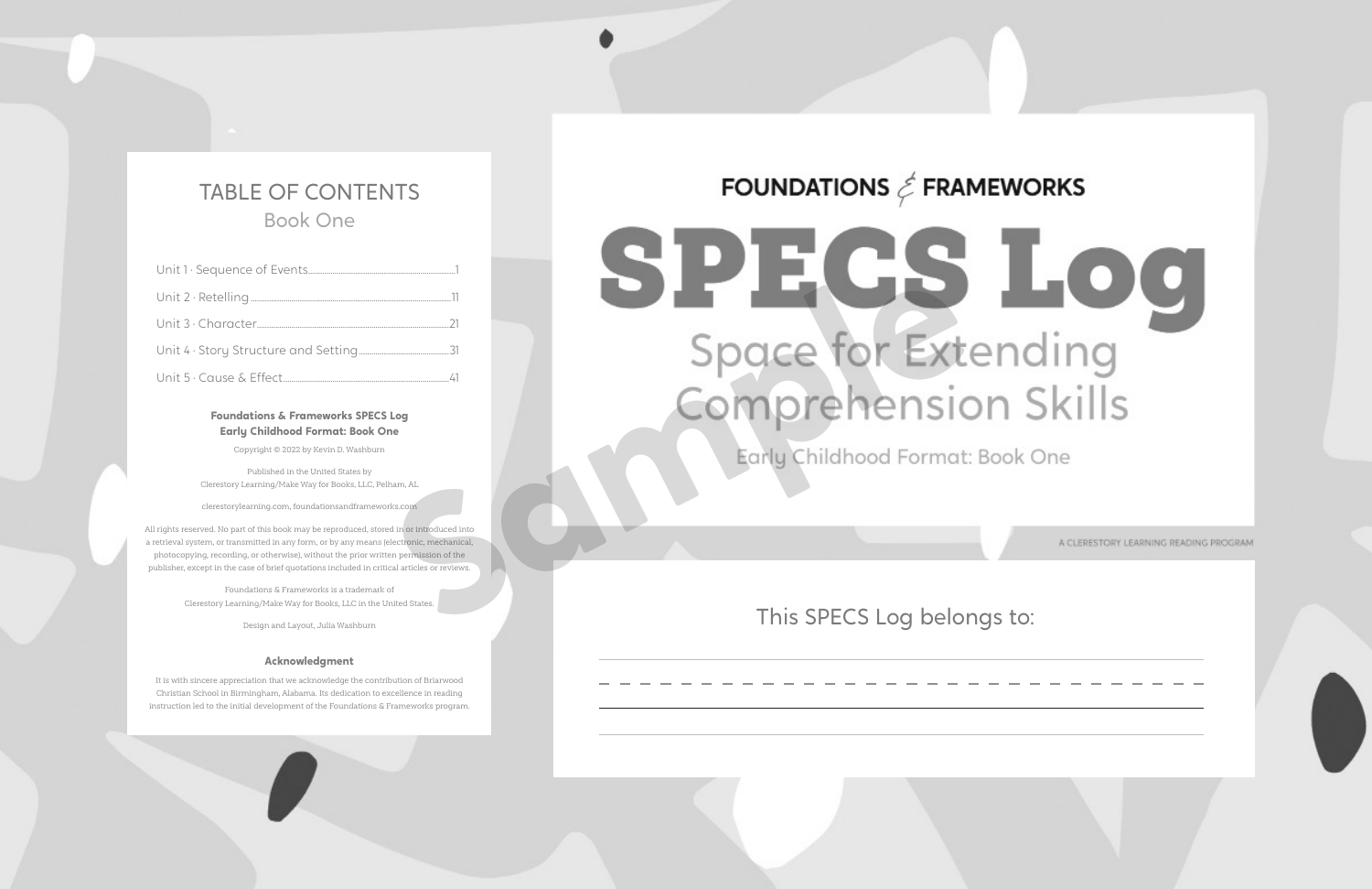## This SPECS Log belongs to:

A CLERESTORY LEARNING READING PROGRAM



## TABLE OF CONTENTS Book One

## **Foundations & Frameworks SPECS Log Early Childhood Format: Book One**

Copyright © 2022 by Kevin D. Washburn

Published in the United States by Clerestory Learning/Make Way for Books, LLC, Pelham, AL

clerestorylearning.com, foundationsandframeworks.com

All rights reserved. No part of this book may be reproduced, stored in or introduced into a retrieval system, or transmitted in any form, or by any means (electronic, mechanical, photocopying, recording, or otherwise), without the prior written permission of the publisher, except in the case of brief quotations included in critical articles or reviews.

> Foundations & Frameworks is a trademark of Clerestory Learning/Make Way for Books, LLC in the United States.

> > Design and Layout, Julia Washburn

## **Acknowledgment**

It is with sincere appreciation that we acknowledge the contribution of Briarwood Christian School in Birmingham, Alabama. Its dedication to excellence in reading instruction led to the initial development of the Foundations & Frameworks program.

# FOUNDATIONS  $\textit{\textless}$  FRAMEWORKS

# **SPECSLOO**<br>Space for Extending<br>Comprehension Skills<br>Early Childhood Format: Book One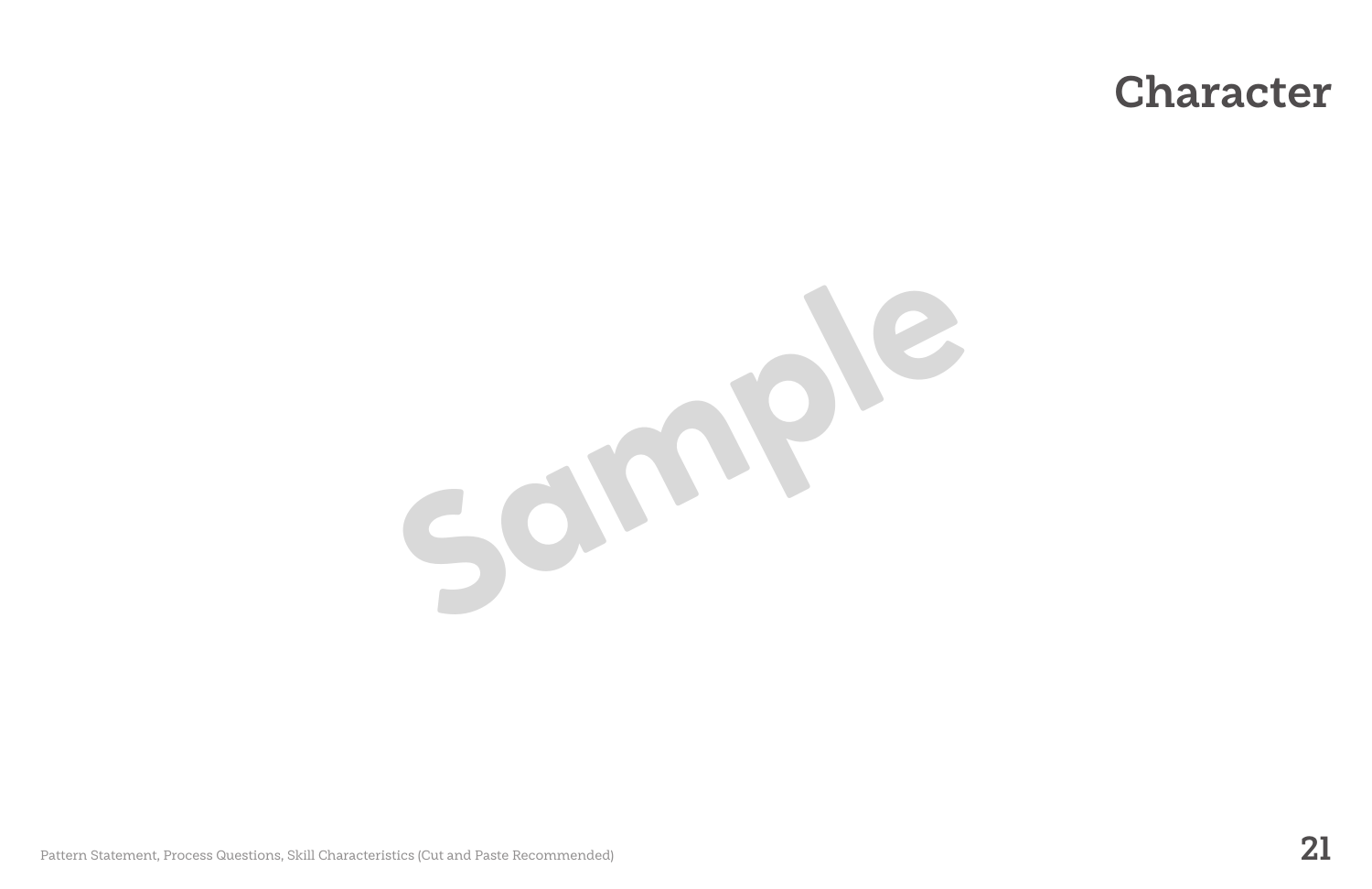Sample

Pattern Statement, Process Questions, Skill Characteristics (Cut and Paste Recommended) **21**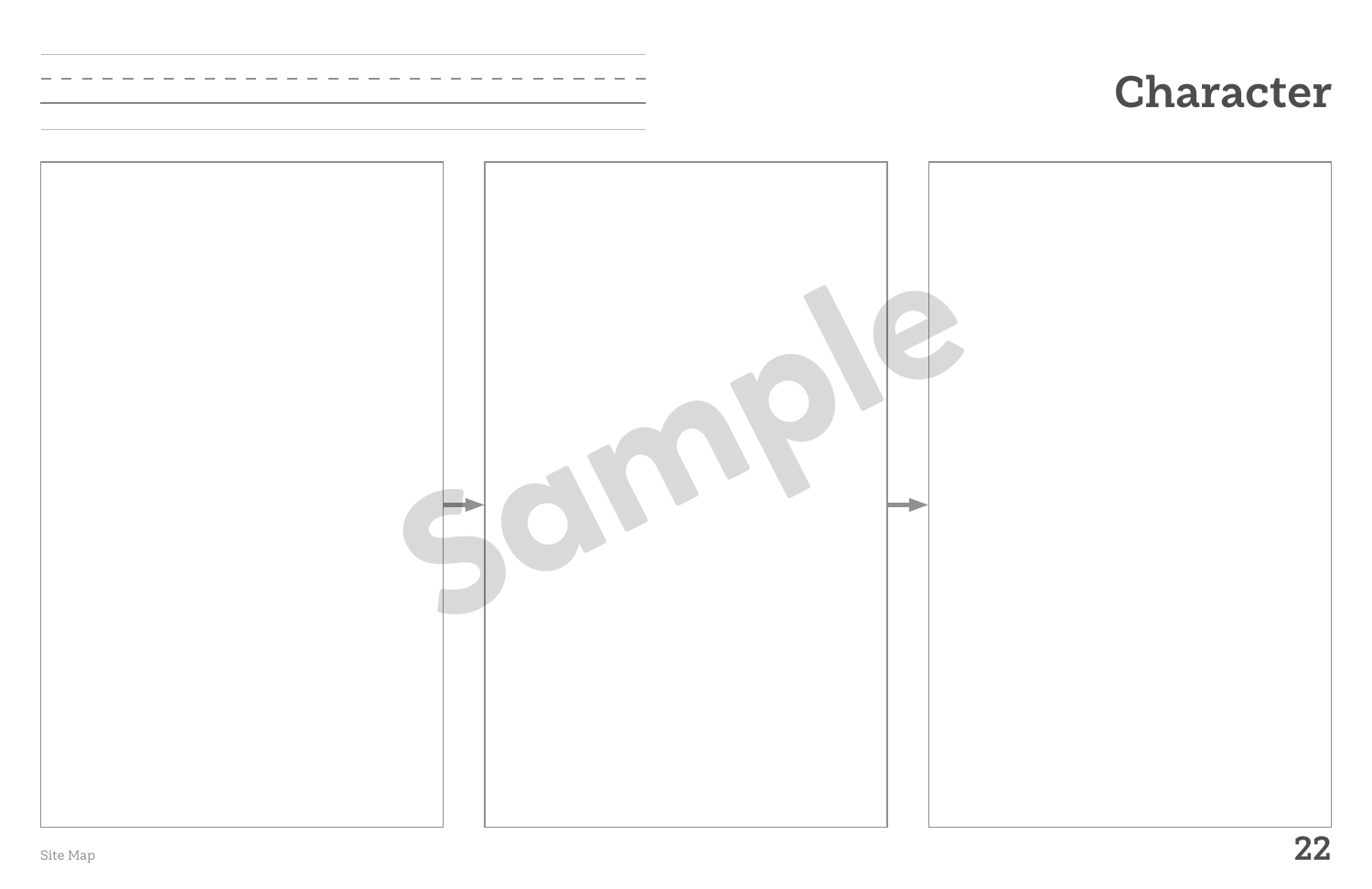

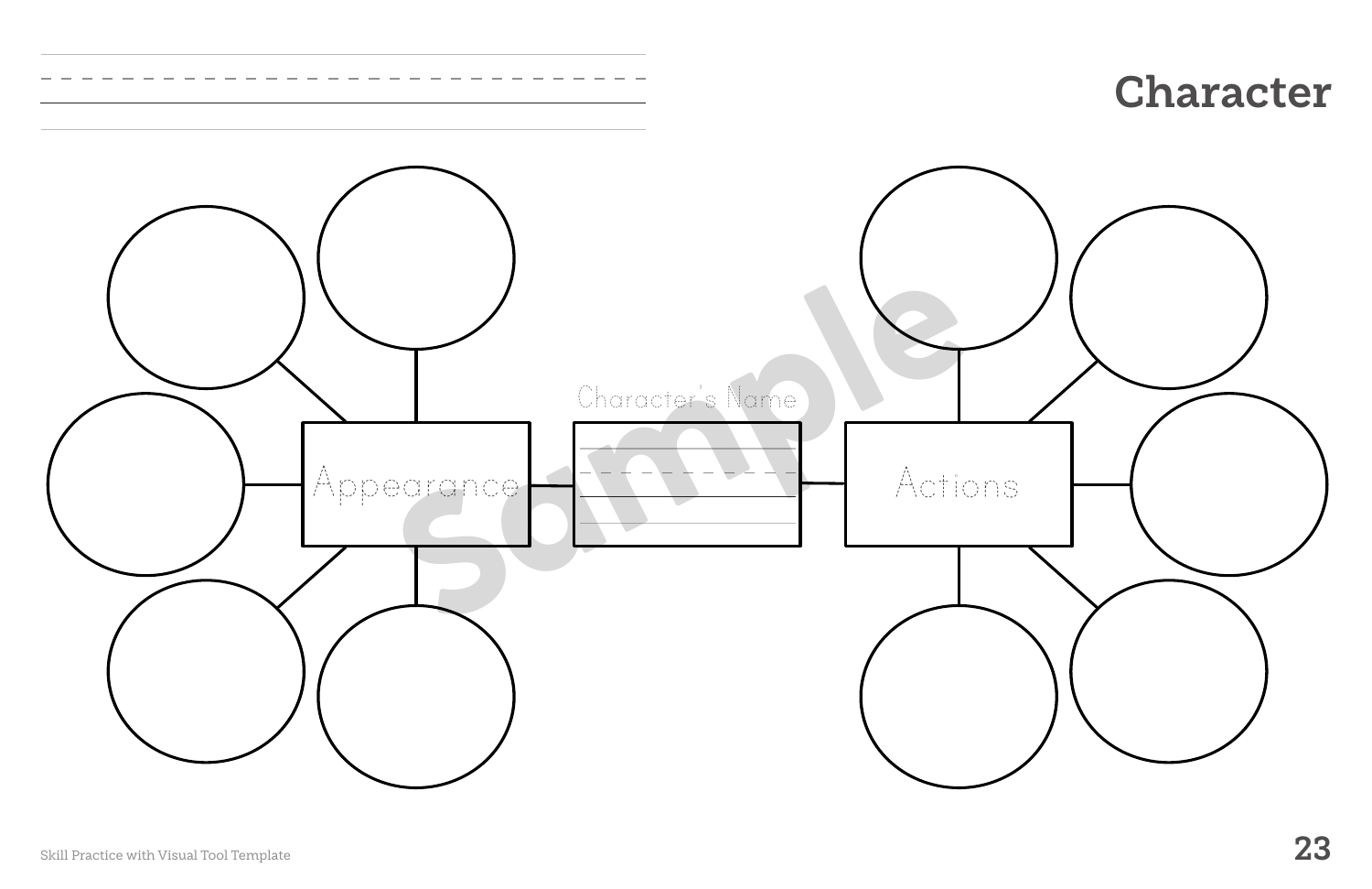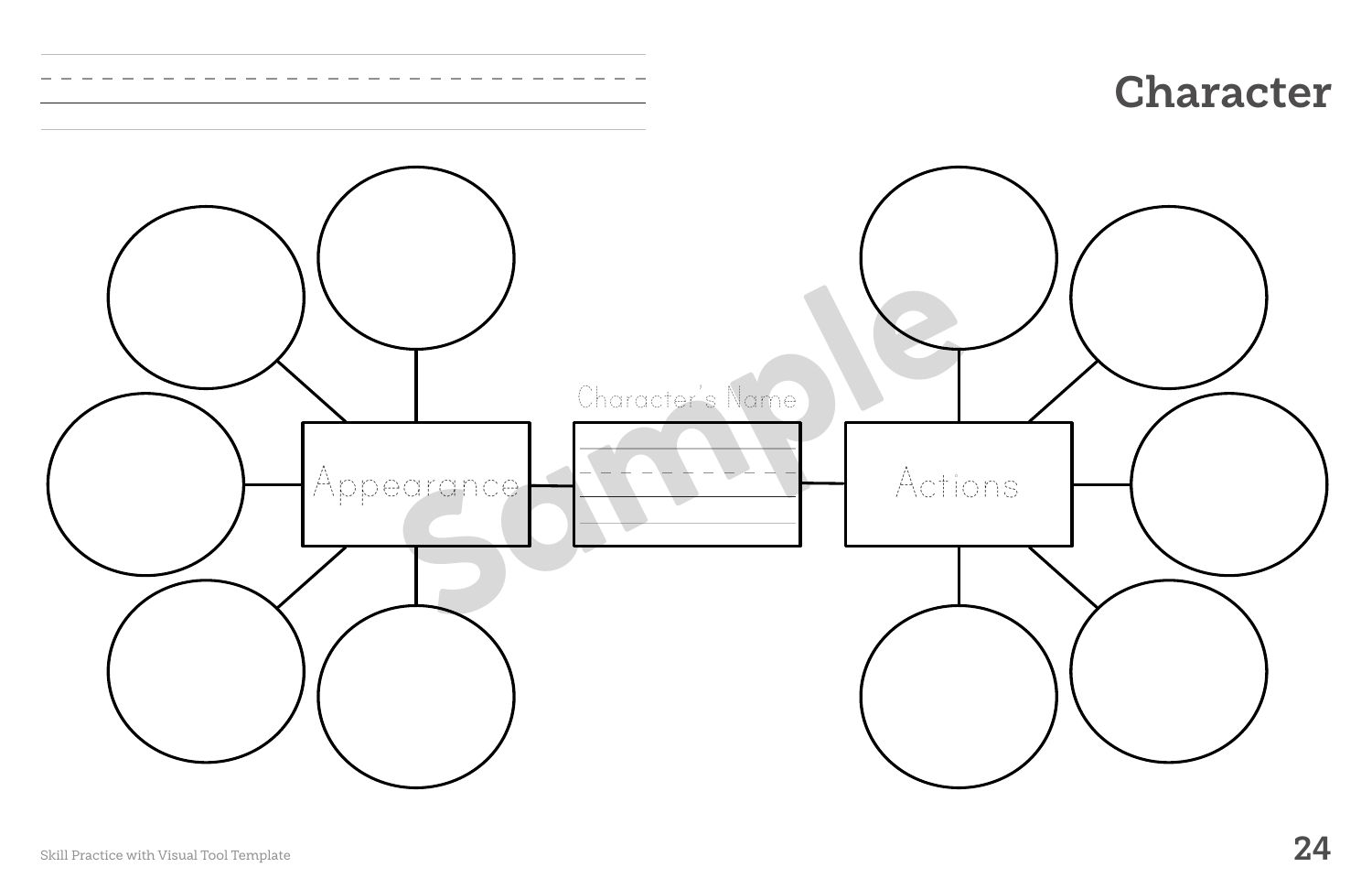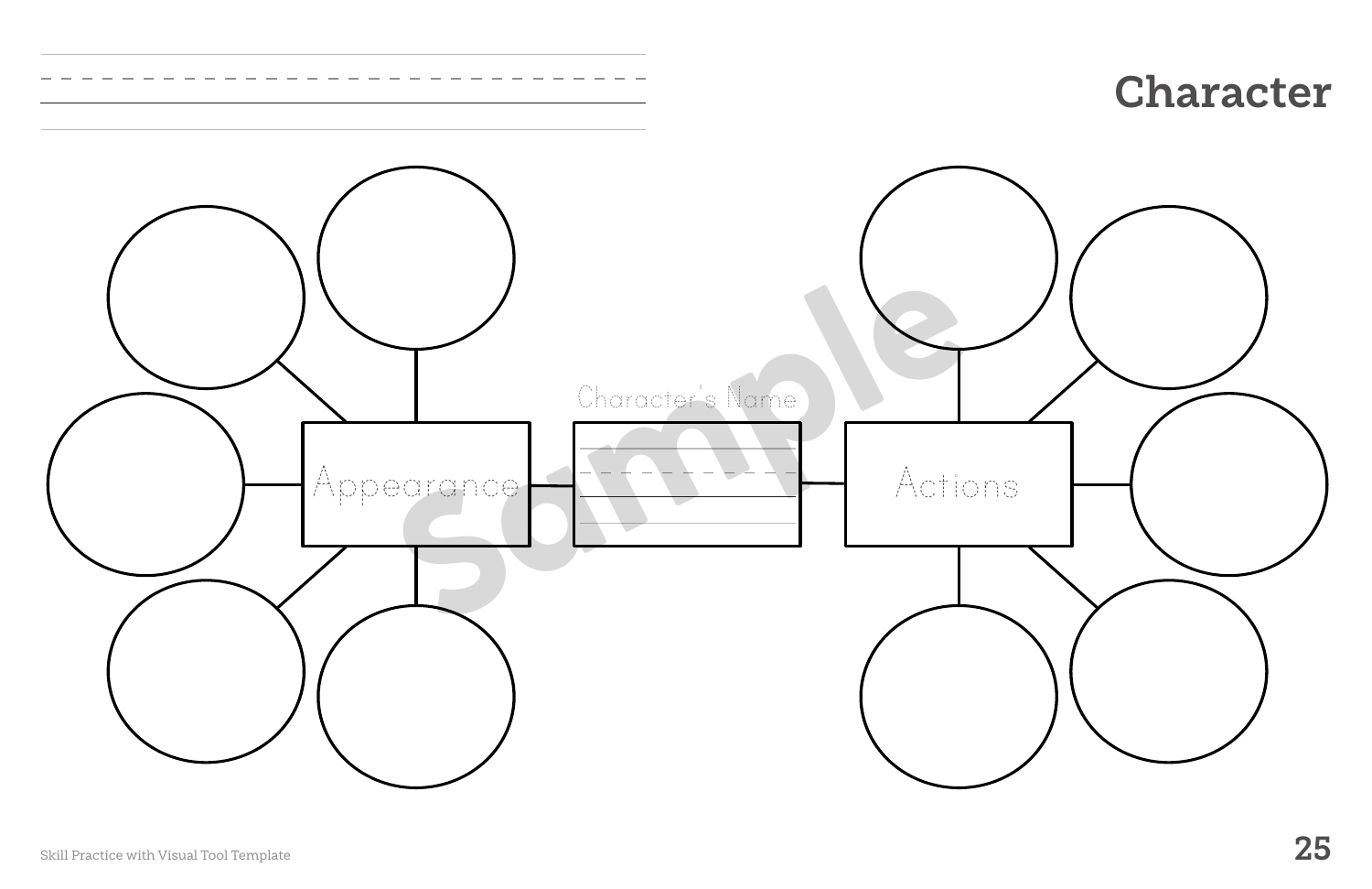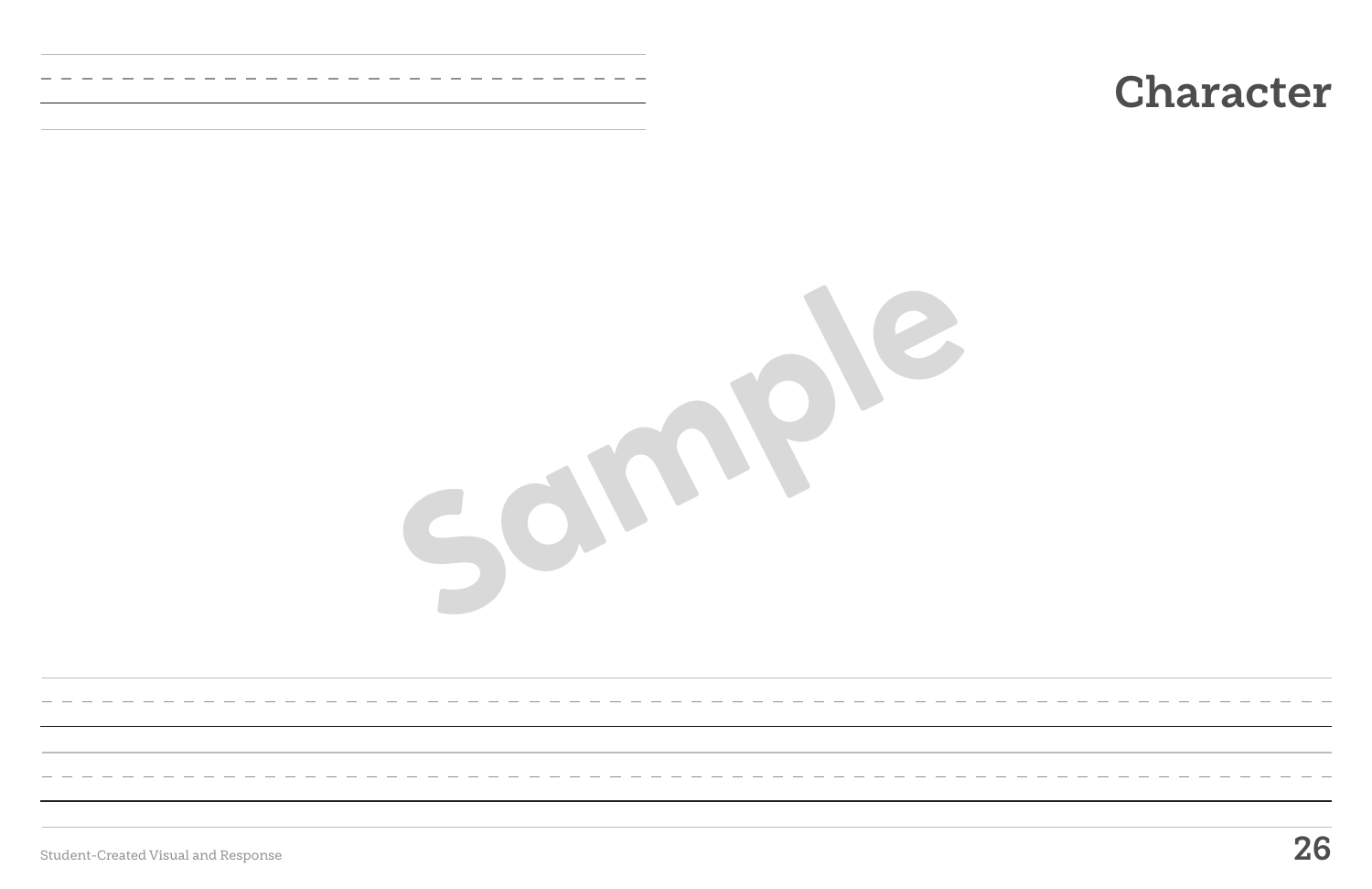Student-Created Visual and Response **26**

# **Character**

**Sample**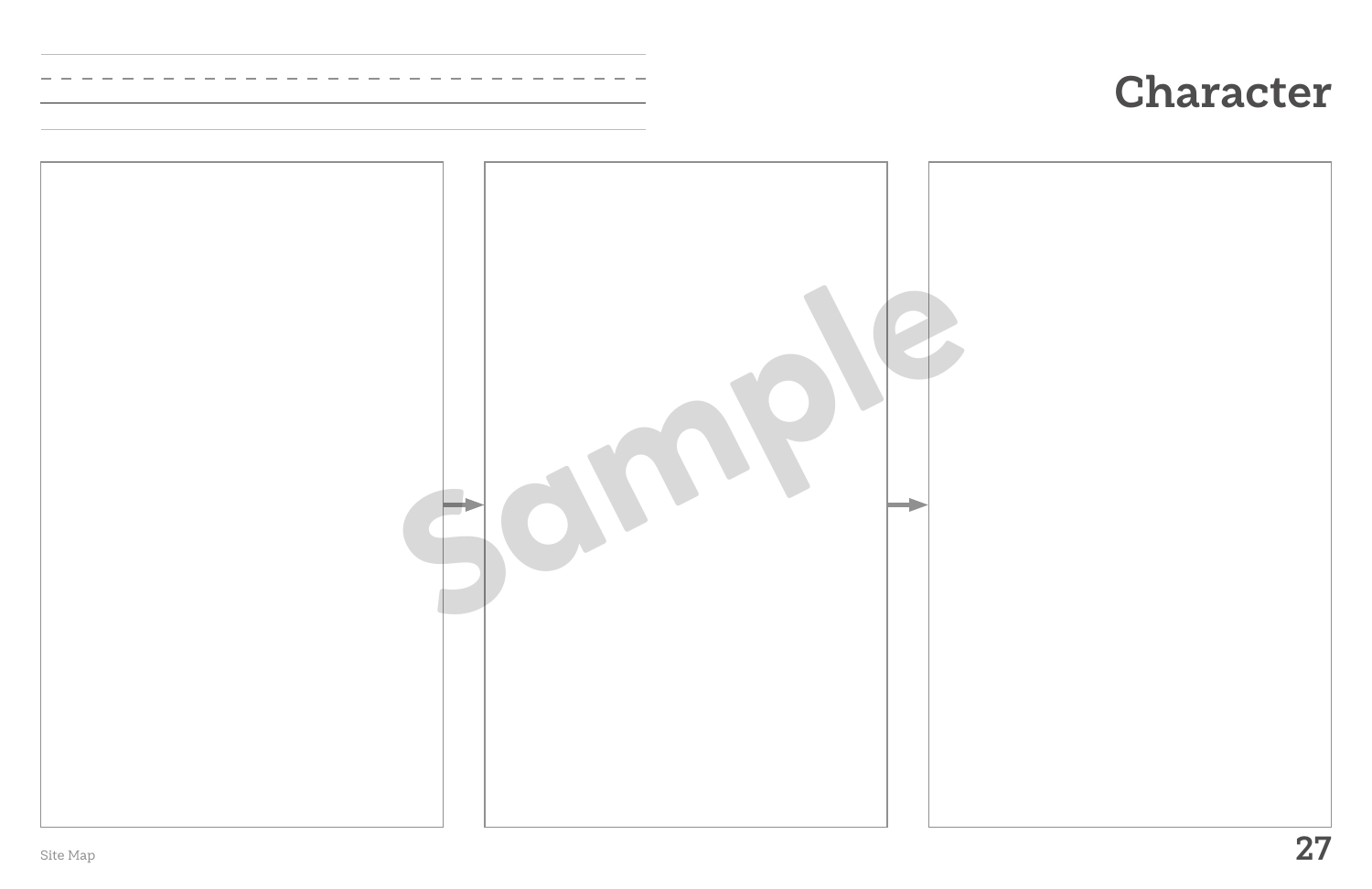

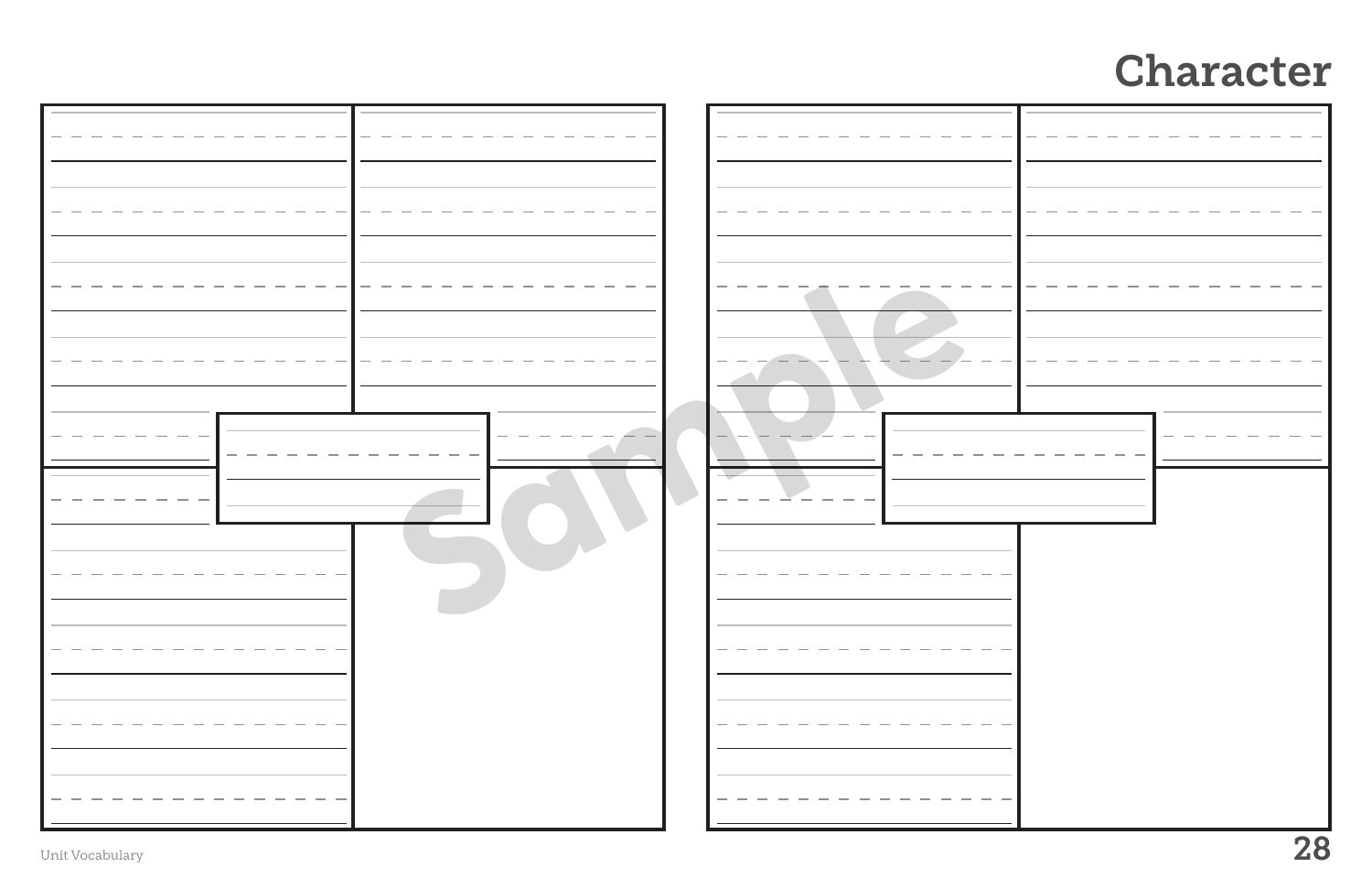| Unit Vocabulary |  |  | 28 |
|-----------------|--|--|----|

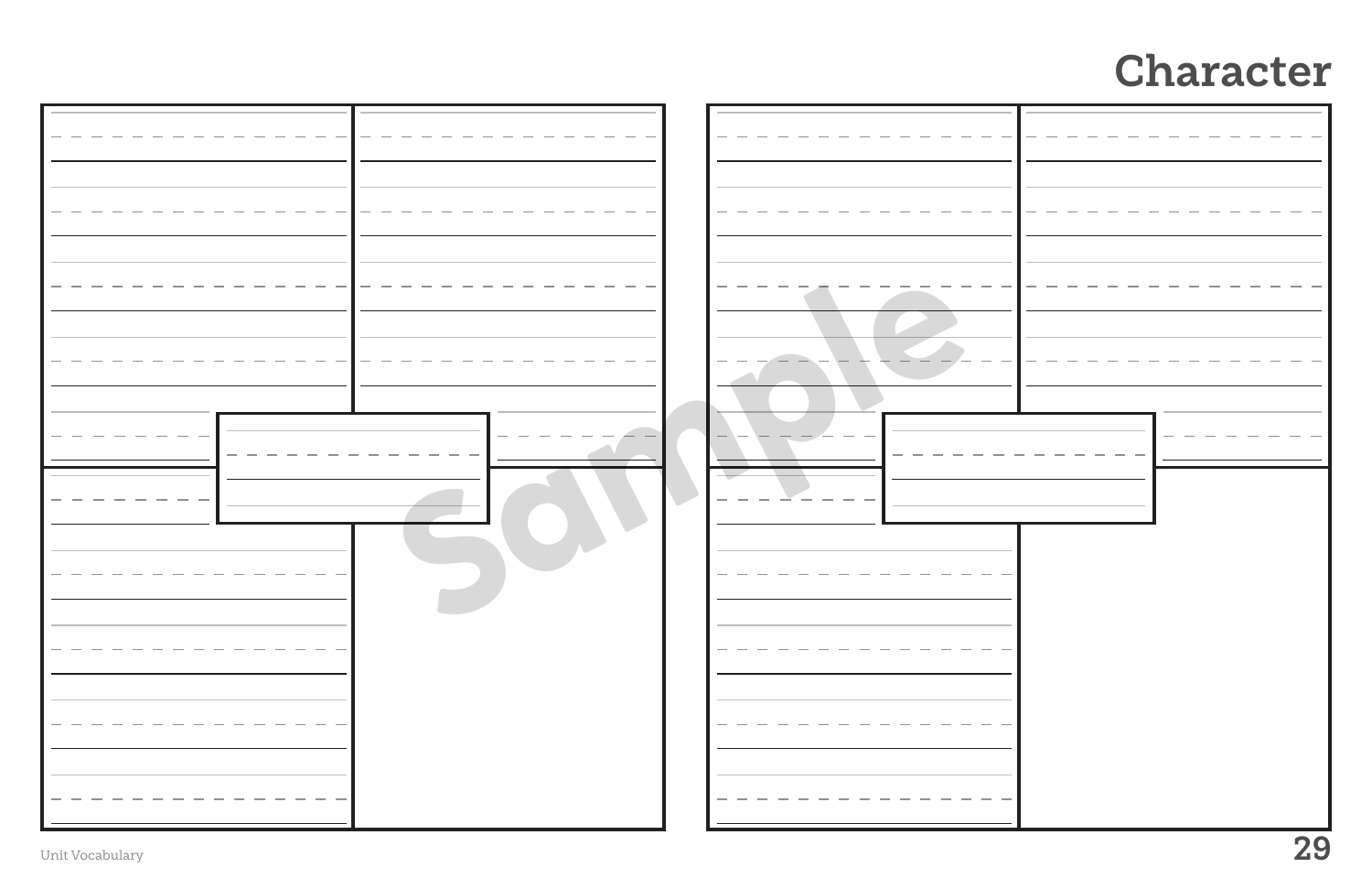| Unit Vocabulary |  |  | 29 |
|-----------------|--|--|----|

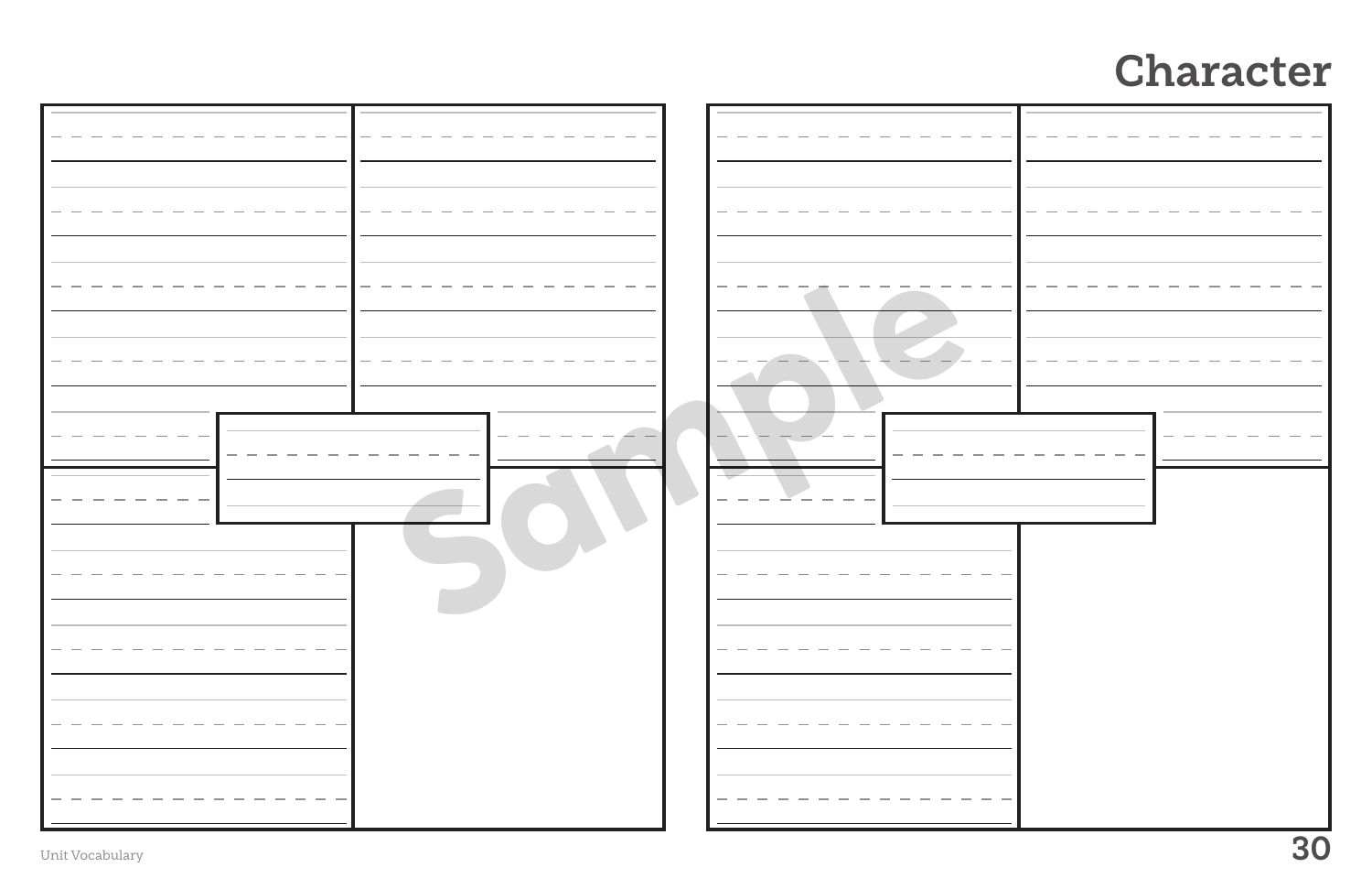|                 | 30 |
|-----------------|----|
| Unit Vocabulary |    |

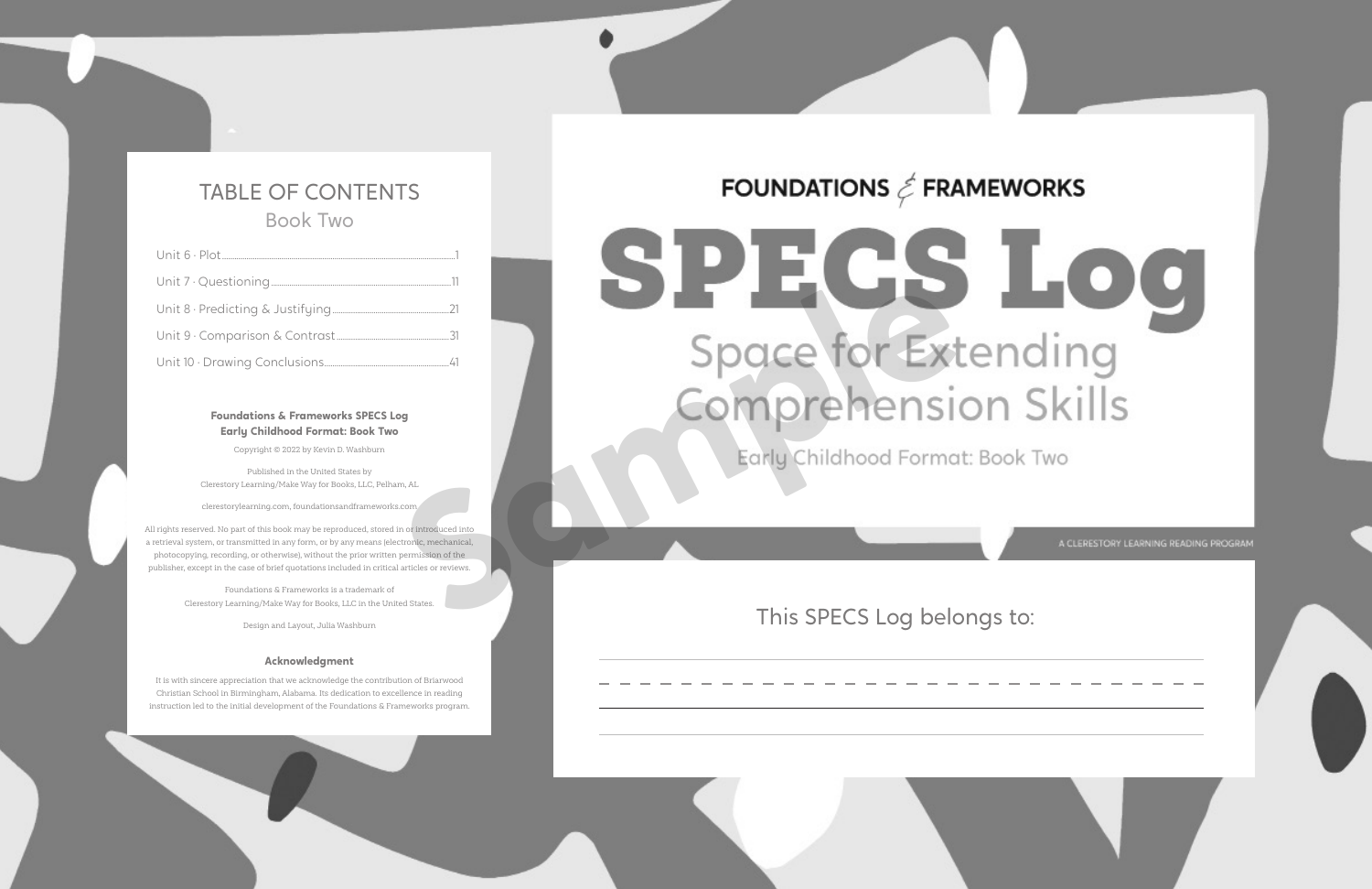## TABLE OF CONTENTS Book Two

## **Foundations & Frameworks SPECS Log Early Childhood Format: Book Two**

Copyright © 2022 by Kevin D. Washburn

Published in the United States by Clerestory Learning/Make Way for Books, LLC, Pelham, AL

clerestorylearning.com, foundationsandframeworks.com

All rights reserved. No part of this book may be reproduced, stored in or introduced into a retrieval system, or transmitted in any form, or by any means (electronic, mechanical, photocopying, recording, or otherwise), without the prior written permission of the publisher, except in the case of brief quotations included in critical articles or reviews.

> Foundations & Frameworks is a trademark of Clerestory Learning/Make Way for Books, LLC in the United States.

> > Design and Layout, Julia Washburn

## **Acknowledgment**

It is with sincere appreciation that we acknowledge the contribution of Briarwood Christian School in Birmingham, Alabama. Its dedication to excellence in reading instruction led to the initial development of the Foundations & Frameworks program.

## FOUNDATIONS  $\textit{\textless}$  FRAMEWORKS

# **Space for Exte**

## This SPECS Log belongs to:

A CLERESTORY LEARNING READING PROGRAM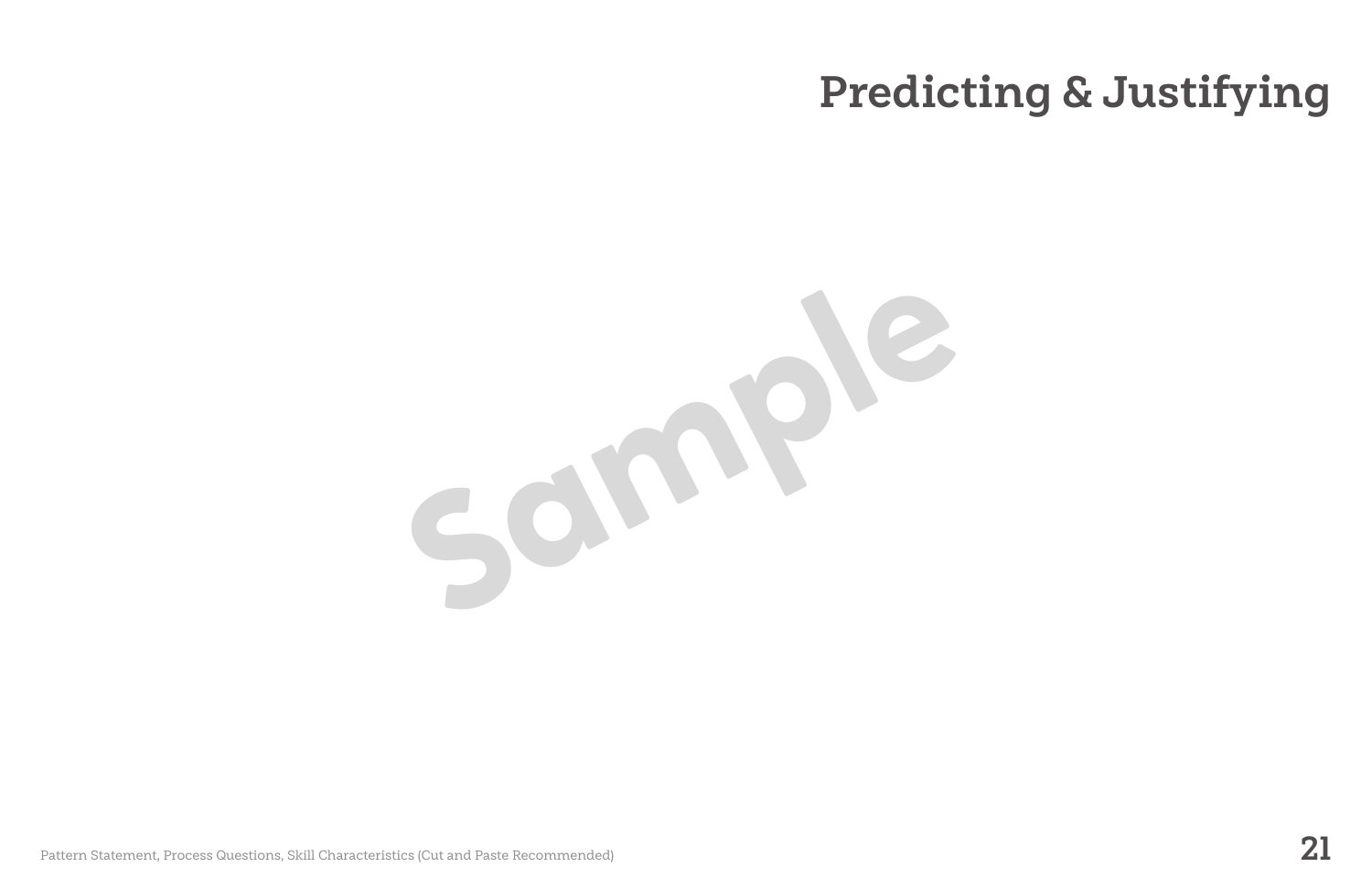Pattern Statement, Process Questions, Skill Characteristics (Cut and Paste Recommended) **21**

# **Predicting & Justifying**

**Sample**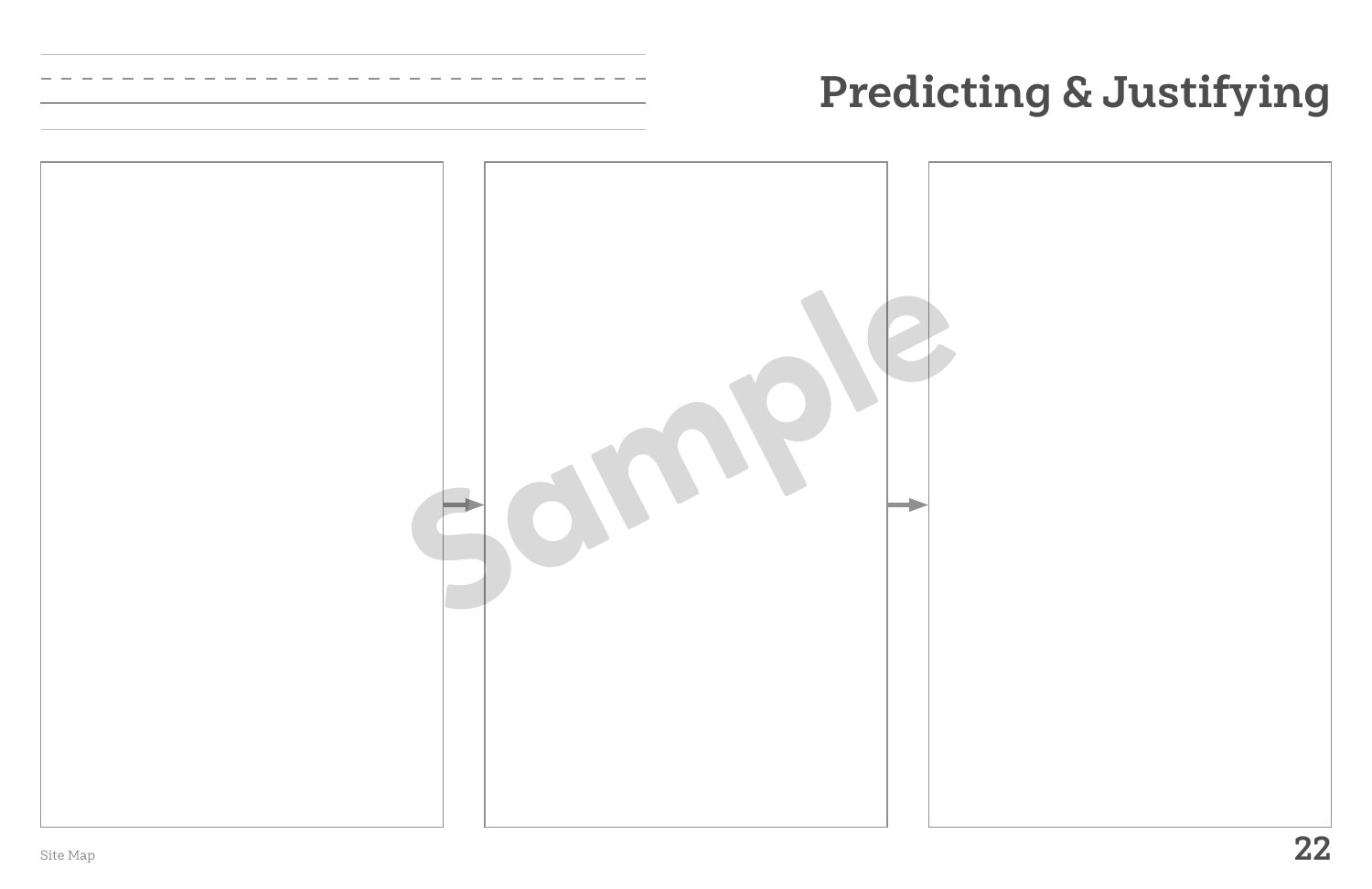



# **Predicting & Justifying**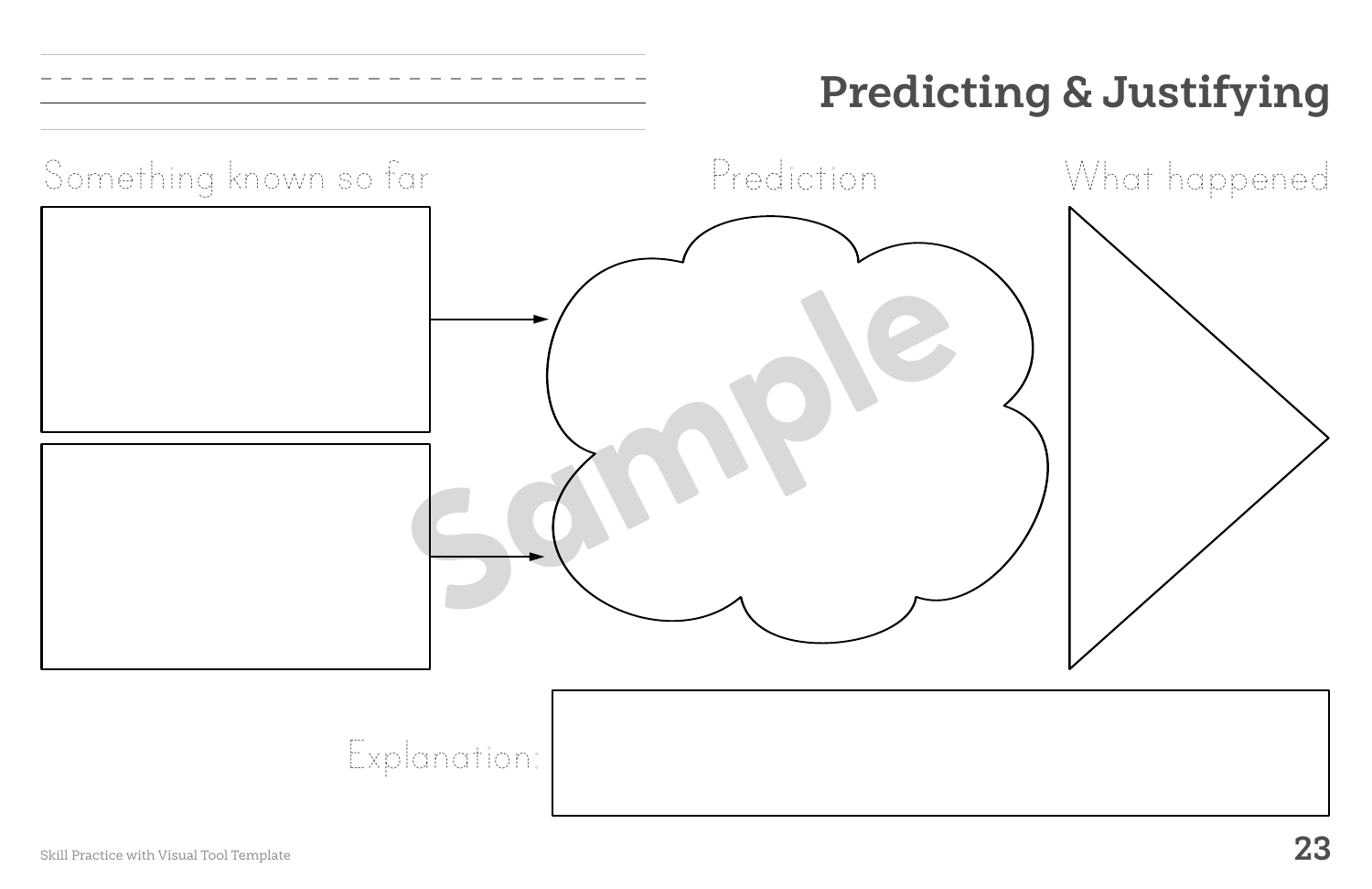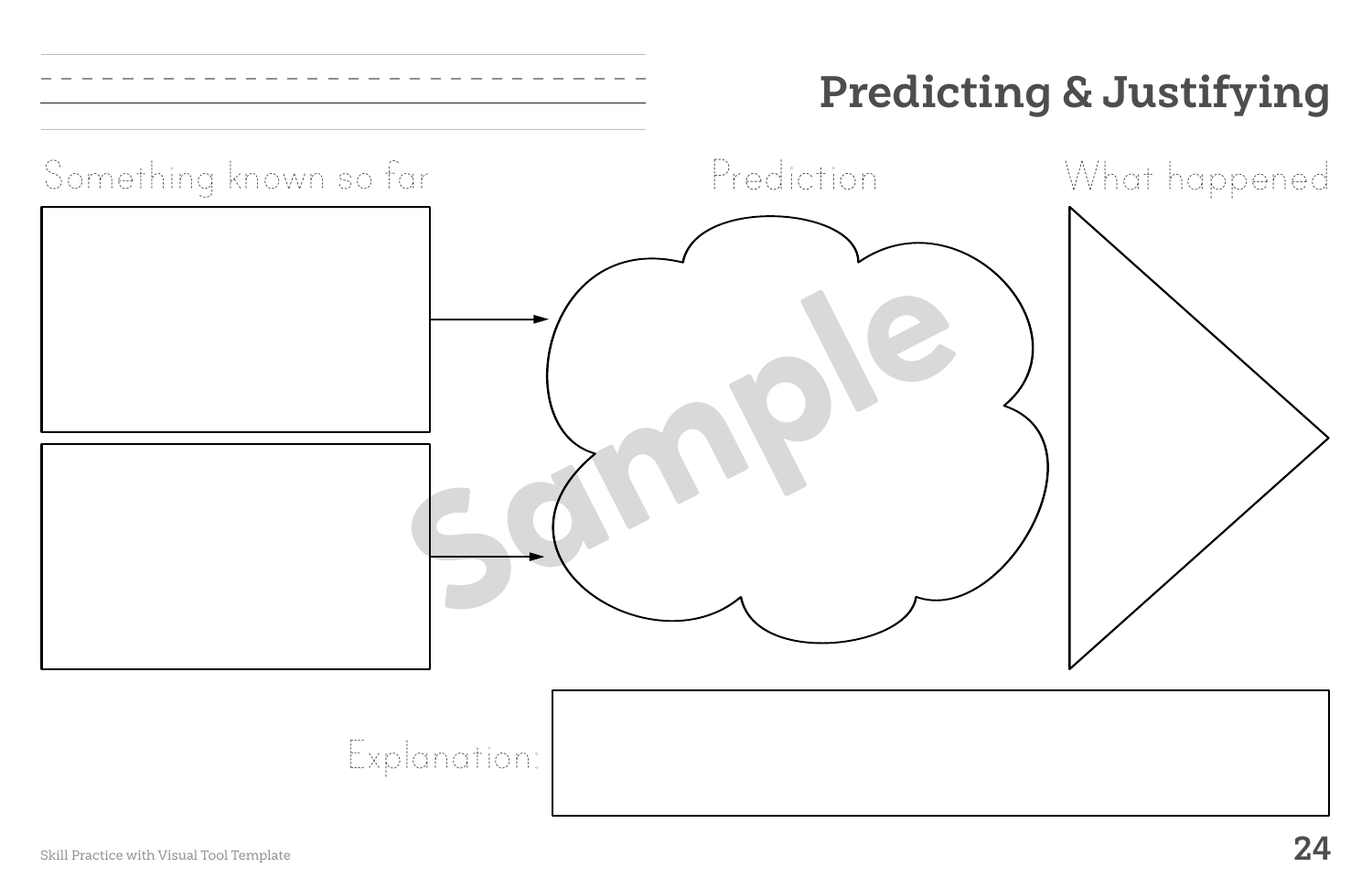

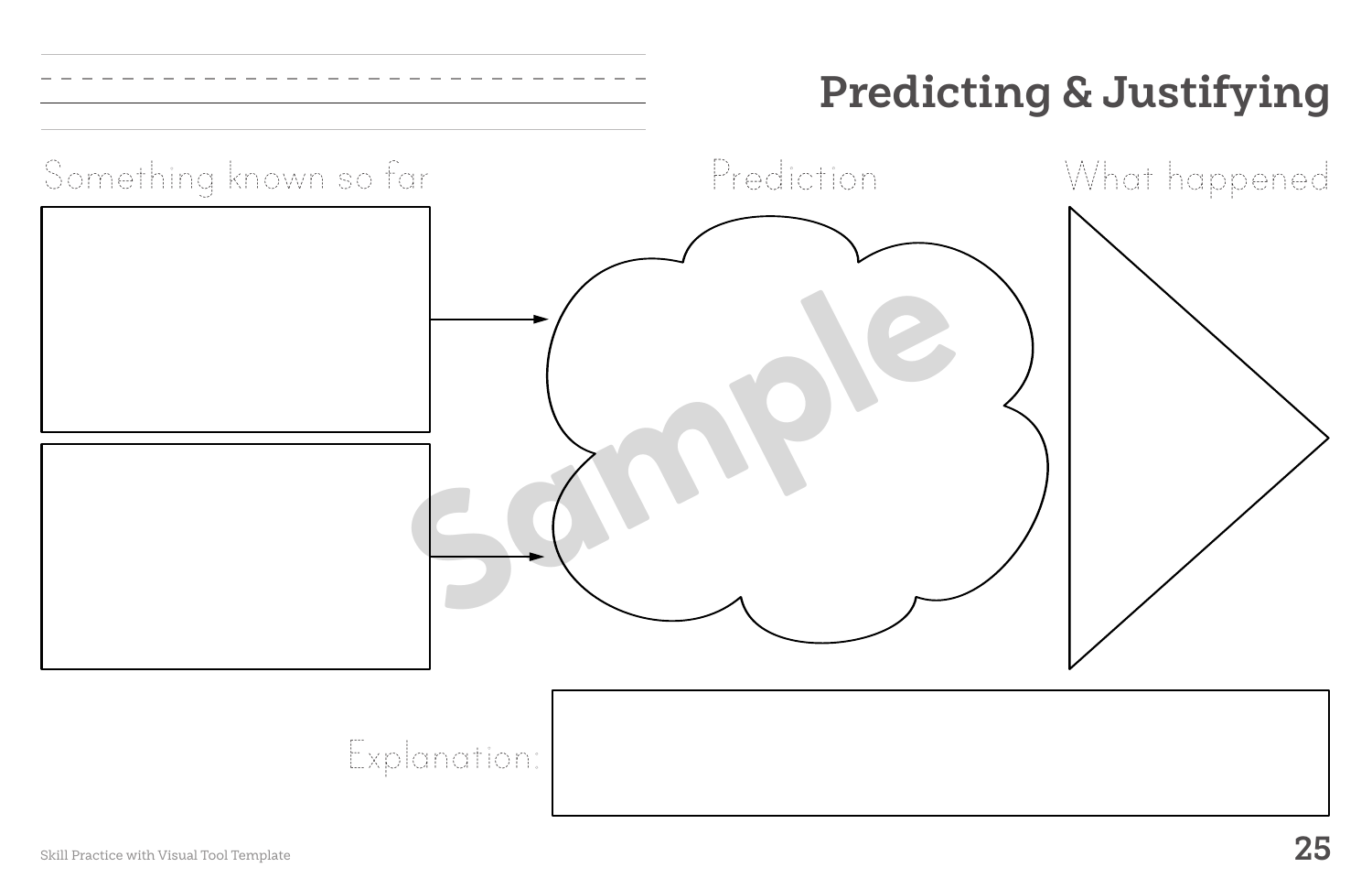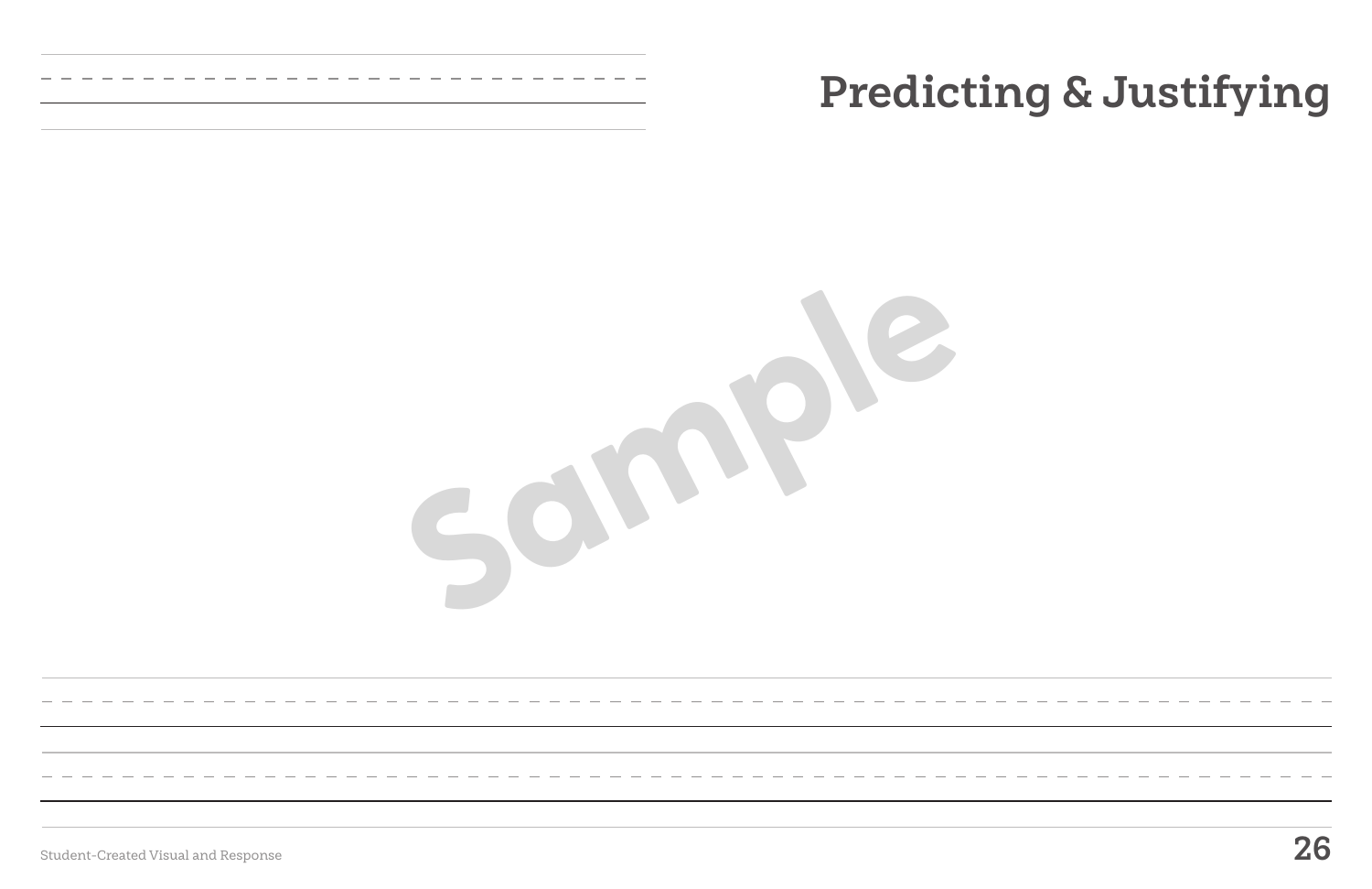Student-Created Visual and Response **26**

# **Predicting & Justifying**

**Sample**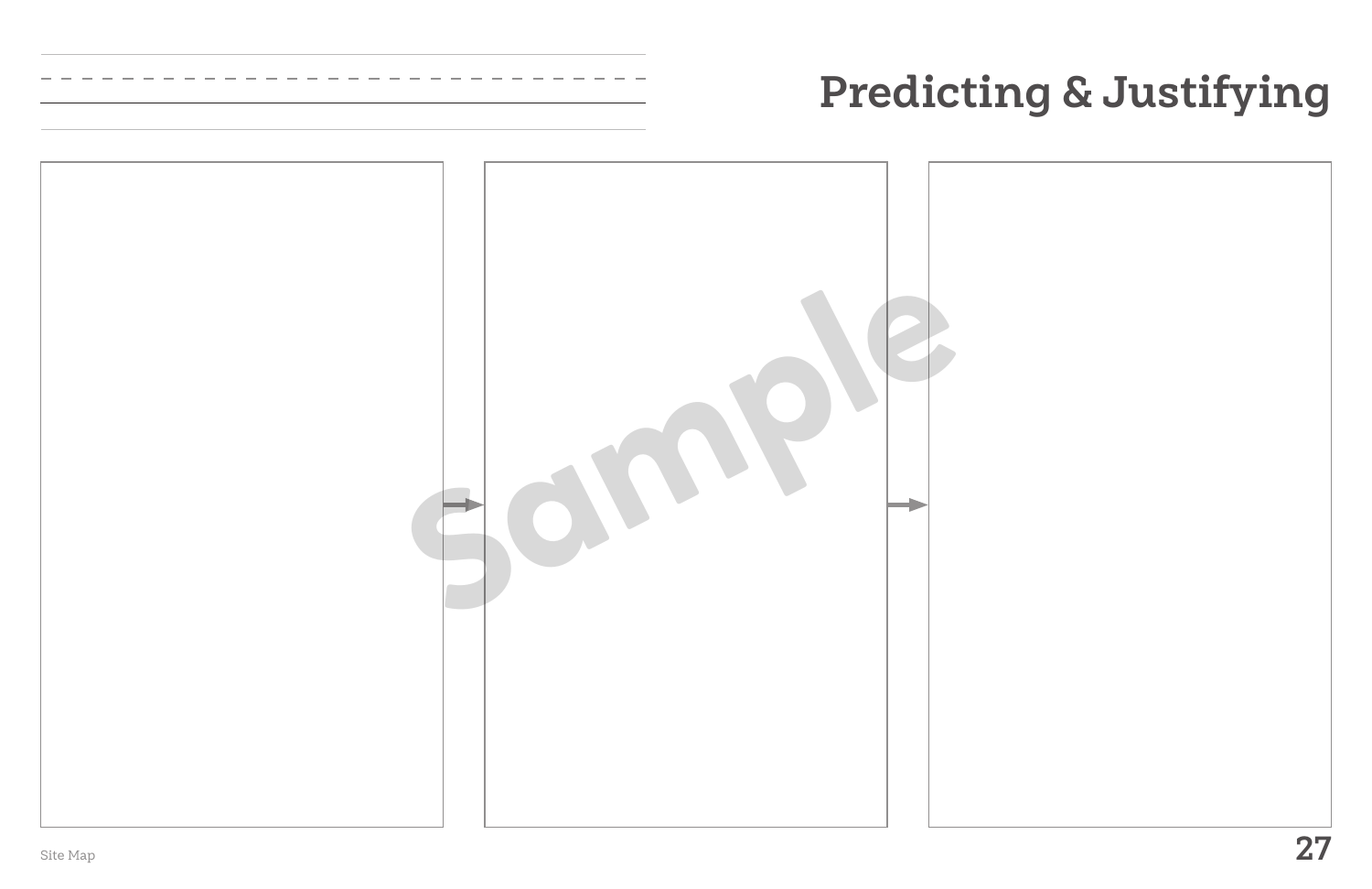



# **Predicting & Justifying**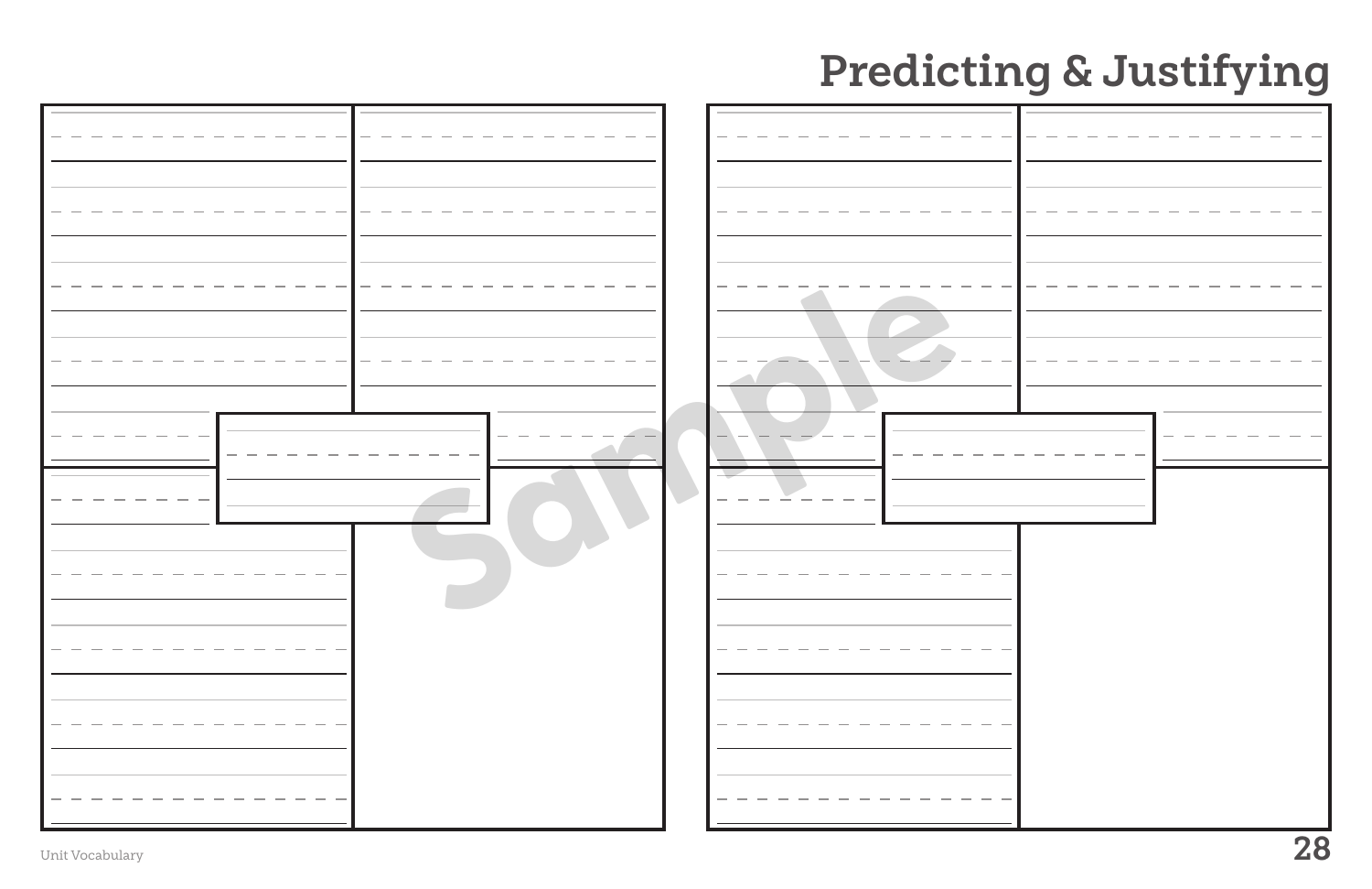|                 | Predicting & Justifying |
|-----------------|-------------------------|
|                 |                         |
| Unit Vocabulary | 28                      |

# **Predictir**

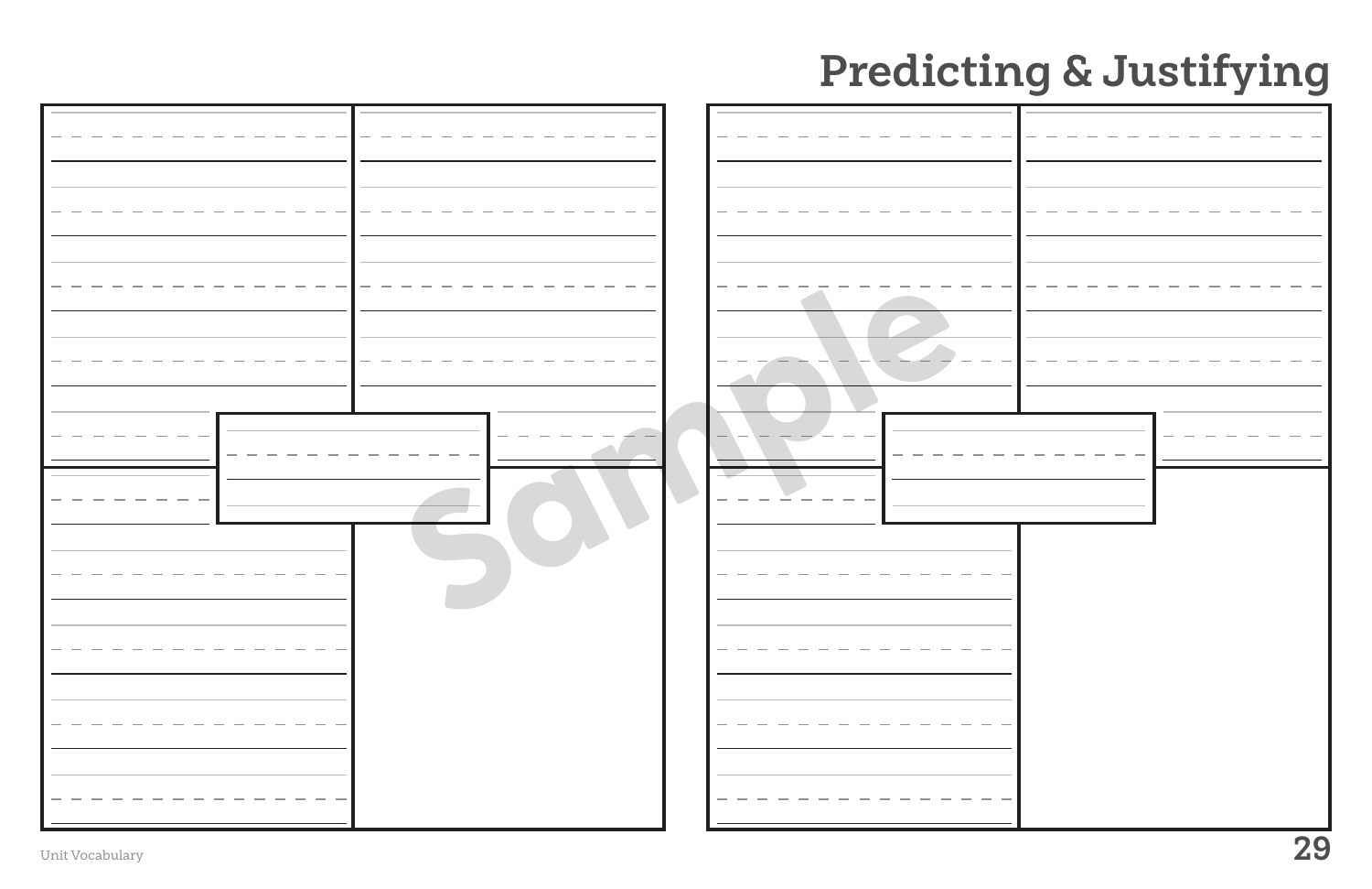|                 | Predicting & Justifying |
|-----------------|-------------------------|
|                 |                         |
| Unit Vocabulary | 29                      |

# **Predictir**